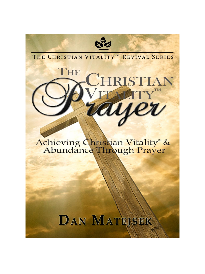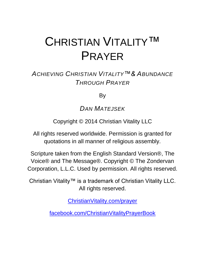# CHRISTIAN VITALITY™ PRAYER

### *ACHIEVING CHRISTIAN VITALITY™& ABUNDANCE THROUGH PRAYER*

By

*DAN MATEJSEK*

Copyright © 2014 Christian Vitality LLC

All rights reserved worldwide. Permission is granted for quotations in all manner of religious assembly.

Scripture taken from the English Standard Version®, The Voice® and The Message®. Copyright © The Zondervan Corporation, L.L.C. Used by permission. All rights reserved.

Christian Vitality™ is a trademark of Christian Vitality LLC. All rights reserved.

[ChristianVitality.com/prayer](http://christianvitality.com/prayer)

[facebook.com/ChristianVitalityPrayerBook](http://www.facebook.com/ChristianVitalityPrayerBook)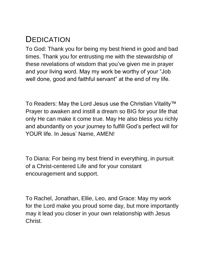### <span id="page-2-0"></span>**DEDICATION**

To God: Thank you for being my best friend in good and bad times. Thank you for entrusting me with the stewardship of these revelations of wisdom that you've given me in prayer and your living word. May my work be worthy of your "Job well done, good and faithful servant" at the end of my life.

To Readers: May the Lord Jesus use the Christian Vitality™ Prayer to awaken and instill a dream so BIG for your life that only He can make it come true. May He also bless you richly and abundantly on your journey to fulfill God's perfect will for YOUR life. In Jesus' Name, AMEN!

To Diana: For being my best friend in everything, in pursuit of a Christ-centered Life and for your constant encouragement and support.

To Rachel, Jonathan, Ellie, Leo, and Grace: May my work for the Lord make you proud some day, but more importantly may it lead you closer in your own relationship with Jesus Christ.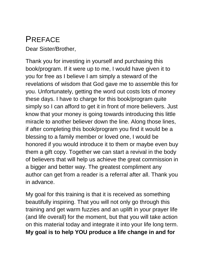### <span id="page-3-0"></span>PREFACE

Dear Sister/Brother,

Thank you for investing in yourself and purchasing this book/program. If it were up to me, I would have given it to you for free as I believe I am simply a steward of the revelations of wisdom that God gave me to assemble this for you. Unfortunately, getting the word out costs lots of money these days. I have to charge for this book/program quite simply so I can afford to get it in front of more believers. Just know that your money is going towards introducing this little miracle to another believer down the line. Along those lines, if after completing this book/program you find it would be a blessing to a family member or loved one, I would be honored if you would introduce it to them or maybe even buy them a gift copy. Together we can start a revival in the body of believers that will help us achieve the great commission in a bigger and better way. The greatest compliment any author can get from a reader is a referral after all. Thank you in advance.

My goal for this training is that it is received as something beautifully inspiring. That you will not only go through this training and get warm fuzzies and an uplift in your prayer life (and life overall) for the moment, but that you will take action on this material today and integrate it into your life long term. **My goal is to help YOU produce a life change in and for**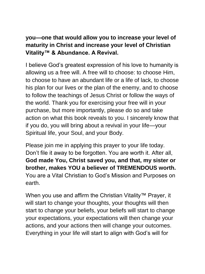#### **you—one that would allow you to increase your level of maturity in Christ and increase your level of Christian Vitality™ & Abundance. A Revival.**

I believe God's greatest expression of his love to humanity is allowing us a free will. A free will to choose: to choose Him, to choose to have an abundant life or a life of lack, to choose his plan for our lives or the plan of the enemy, and to choose to follow the teachings of Jesus Christ or follow the ways of the world. Thank you for exercising your free will in your purchase, but more importantly, please do so and take action on what this book reveals to you. I sincerely know that if you do, you will bring about a revival in your life—your Spiritual life, your Soul, and your Body.

Please join me in applying this prayer to your life today. Don't file it away to be forgotten. You are worth it. After all, **God made You, Christ saved you, and that, my sister or brother, makes YOU a believer of TREMENDOUS worth.** You are a Vital Christian to God's Mission and Purposes on earth.

When you use and affirm the Christian Vitality™ Prayer, it will start to change your thoughts, your thoughts will then start to change your beliefs, your beliefs will start to change your expectations, your expectations will then change your actions, and your actions then will change your outcomes. Everything in your life will start to align with God's will for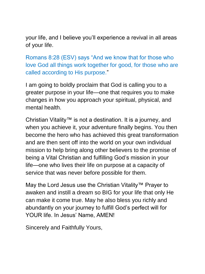your life, and I believe you'll experience a revival in all areas of your life.

Romans 8:28 (ESV) says "And we know that for those who love God all things work together for good, for those who are called according to His purpose."

I am going to boldly proclaim that God is calling you to a greater purpose in your life—one that requires you to make changes in how you approach your spiritual, physical, and mental health.

Christian Vitality™ is not a destination. It is a journey, and when you achieve it, your adventure finally begins. You then become the hero who has achieved this great transformation and are then sent off into the world on your own individual mission to help bring along other believers to the promise of being a Vital Christian and fulfilling God's mission in your life—one who lives their life on purpose at a capacity of service that was never before possible for them.

May the Lord Jesus use the Christian Vitality™ Prayer to awaken and instill a dream so BIG for your life that only He can make it come true. May he also bless you richly and abundantly on your journey to fulfill God's perfect will for YOUR life. In Jesus' Name, AMEN!

Sincerely and Faithfully Yours,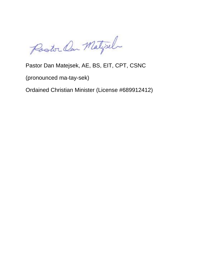Postor Can Matizel

#### Pastor Dan Matejsek, AE, BS, EIT, CPT, CSNC

(pronounced ma-tay-sek)

Ordained Christian Minister (License #689912412)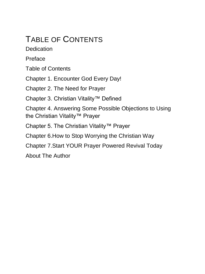### <span id="page-7-0"></span>TABLE OF CONTENTS

**[Dedication](#page-2-0)** 

[Preface](#page-3-0)

[Table of Contents](#page-7-0)

[Chapter 1. Encounter God Every Day!](#page-8-0)

[Chapter 2. The Need for Prayer](#page-16-0)

Chapter 3. Christian Vitality™ Defined

Chapter 4. Answering Some Possible Objections to Using the Christian Vitality™ Prayer

Chapter 5. The Christian Vitality™ Prayer

Chapter 6.How to Stop Worrying the Christian Way

Chapter 7.Start YOUR Prayer Powered Revival Today

[About The Author](#page-28-0)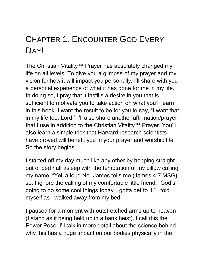## <span id="page-8-0"></span>CHAPTER 1. ENCOUNTER GOD EVERY **DAY!**

The Christian Vitality™ Prayer has absolutely changed my life on all levels. To give you a glimpse of my prayer and my vision for how it will impact you personally, I'll share with you a personal experience of what it has done for me in my life. In doing so, I pray that it instills a desire in you that is sufficient to motivate you to take action on what you'll learn in this book. I want the result to be for you to say, "I want that in my life too, Lord." I'll also share another affirmation/prayer that I use in addition to the Christian Vitality™ Prayer. You'll also learn a simple trick that Harvard research scientists have proved will benefit you in your prayer and worship life. So the story begins….

I started off my day much like any other by hopping straight out of bed half asleep with the temptation of my pillow calling my name. "Yell a loud No" James tells me (James 4:7 MSG) so, I ignore the calling of my comfortable little friend. "God's going to do some cool things today…gotta get to it," I told myself as I walked away from my bed.

I paused for a moment with outstretched arms up to heaven (I stand as if being held up in a bank heist). I call this the Power Pose. I'll talk in more detail about the science behind why this has a huge impact on our bodies physically in the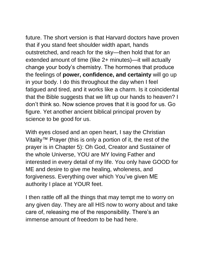future. The short version is that Harvard doctors have proven that if you stand feet shoulder width apart, hands outstretched, and reach for the sky—then hold that for an extended amount of time (like 2+ minutes)—it will actually change your body's chemistry. The hormones that produce the feelings of **power, confidence, and certainty** will go up in your body. I do this throughout the day when I feel fatigued and tired, and it works like a charm. Is it coincidental that the Bible suggests that we lift up our hands to heaven? I don't think so. Now science proves that it is good for us. Go figure. Yet another ancient biblical principal proven by science to be good for us.

With eyes closed and an open heart, I say the Christian Vitality™ Prayer (this is only a portion of it, the rest of the prayer is in Chapter 5): Oh God, Creator and Sustainer of the whole Universe, YOU are MY loving Father and interested in every detail of my life. You only have GOOD for ME and desire to give me healing, wholeness, and forgiveness. Everything over which You've given ME authority I place at YOUR feet.

I then rattle off all the things that may tempt me to worry on any given day. They are all HIS now to worry about and take care of, releasing me of the responsibility. There's an immense amount of freedom to be had here.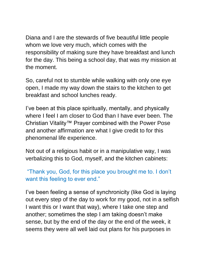Diana and I are the stewards of five beautiful little people whom we love very much, which comes with the responsibility of making sure they have breakfast and lunch for the day. This being a school day, that was my mission at the moment.

So, careful not to stumble while walking with only one eye open, I made my way down the stairs to the kitchen to get breakfast and school lunches ready.

I've been at this place spiritually, mentally, and physically where I feel I am closer to God than I have ever been. The Christian Vitality™ Prayer combined with the Power Pose and another affirmation are what I give credit to for this phenomenal life experience.

Not out of a religious habit or in a manipulative way, I was verbalizing this to God, myself, and the kitchen cabinets:

"Thank you, God, for this place you brought me to. I don't want this feeling to ever end."

I've been feeling a sense of synchronicity (like God is laying out every step of the day to work for my good, not in a selfish I want this or I want that way), where I take one step and another; sometimes the step I am taking doesn't make sense, but by the end of the day or the end of the week, it seems they were all well laid out plans for his purposes in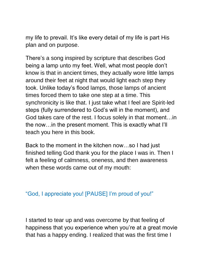my life to prevail. It's like every detail of my life is part His plan and on purpose.

There's a song inspired by scripture that describes God being a lamp unto my feet. Well, what most people don't know is that in ancient times, they actually wore little lamps around their feet at night that would light each step they took. Unlike today's flood lamps, those lamps of ancient times forced them to take one step at a time. This synchronicity is like that. I just take what I feel are Spirit-led steps (fully surrendered to God's will in the moment), and God takes care of the rest. I focus solely in that moment…in the now…in the present moment. This is exactly what I'll teach you here in this book.

Back to the moment in the kitchen now…so I had just finished telling God thank you for the place I was in. Then I felt a feeling of calmness, oneness, and then awareness when these words came out of my mouth:

#### "God, I appreciate you! [PAUSE] I'm proud of you!"

I started to tear up and was overcome by that feeling of happiness that you experience when you're at a great movie that has a happy ending. I realized that was the first time I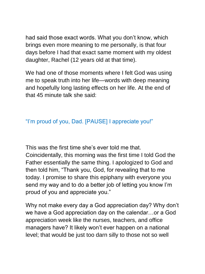had said those exact words. What you don't know, which brings even more meaning to me personally, is that four days before I had that exact same moment with my oldest daughter, Rachel (12 years old at that time).

We had one of those moments where I felt God was using me to speak truth into her life—words with deep meaning and hopefully long lasting effects on her life. At the end of that 45 minute talk she said:

#### "I'm proud of you, Dad. [PAUSE] I appreciate you!"

This was the first time she's ever told me that. Coincidentally, this morning was the first time I told God the Father essentially the same thing. I apologized to God and then told him, "Thank you, God, for revealing that to me today. I promise to share this epiphany with everyone you send my way and to do a better job of letting you know I'm proud of you and appreciate you."

Why not make every day a God appreciation day? Why don't we have a God appreciation day on the calendar…or a God appreciation week like the nurses, teachers, and office managers have? It likely won't ever happen on a national level; that would be just too darn silly to those not so well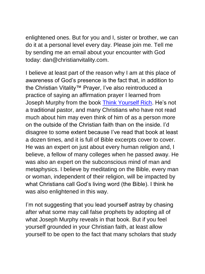enlightened ones. But for you and I, sister or brother, we can do it at a personal level every day. Please join me. Tell me by sending me an email about your encounter with God today: dan@christianvitality.com.

I believe at least part of the reason why I am at this place of awareness of God's presence is the fact that, in addition to the Christian Vitality™ Prayer, I've also reintroduced a practice of saying an affirmation prayer I learned from Joseph Murphy from the book [Think Yourself Rich.](http://www.amazon.com/gp/product/0735202230/ref=as_li_tl?ie=UTF8&camp=1789&creative=9325&creativeASIN=0735202230&linkCode=as2&tag=christianvita-20&linkId=Q5W6F4KMEZK6ZNUF) He's not a traditional pastor, and many Christians who have not read much about him may even think of him of as a person more on the outside of the Christian faith than on the inside. I'd disagree to some extent because I've read that book at least a dozen times, and it is full of Bible excerpts cover to cover. He was an expert on just about every human religion and, I believe, a fellow of many colleges when he passed away. He was also an expert on the subconscious mind of man and metaphysics. I believe by meditating on the Bible, every man or woman, independent of their religion, will be impacted by what Christians call God's living word (the Bible). I think he was also enlightened in this way.

I'm not suggesting that you lead yourself astray by chasing after what some may call false prophets by adopting all of what Joseph Murphy reveals in that book. But if you feel yourself grounded in your Christian faith, at least allow yourself to be open to the fact that many scholars that study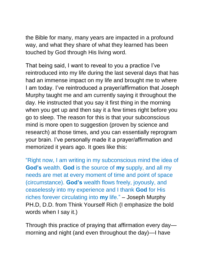the Bible for many, many years are impacted in a profound way, and what they share of what they learned has been touched by God through His living word.

That being said, I want to reveal to you a practice I've reintroduced into my life during the last several days that has had an immense impact on my life and brought me to where I am today. I've reintroduced a prayer/affirmation that Joseph Murphy taught me and am currently saying it throughout the day. He instructed that you say it first thing in the morning when you get up and then say it a few times right before you go to sleep. The reason for this is that your subconscious mind is more open to suggestion (proven by science and research) at those times, and you can essentially reprogram your brain. I've personally made it a prayer/affirmation and memorized it years ago. It goes like this:

"Right now, I am writing in my subconscious mind the idea of **God's** wealth. **God** is the source of **my** supply, and all my needs are met at every moment of time and point of space (circumstance). **God's** wealth flows freely, joyously, and ceaselessly into my experience and I thank **God** for His riches forever circulating into **my** life." – Joseph Murphy PH.D, D.D. from Think Yourself Rich (I emphasize the bold words when I say it.)

Through this practice of praying that affirmation every day morning and night (and even throughout the day)—I have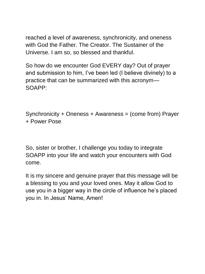reached a level of awareness, synchronicity, and oneness with God the Father. The Creator. The Sustainer of the Universe. I am so, so blessed and thankful.

So how do we encounter God EVERY day? Out of prayer and submission to him, I've been led (I believe divinely) to a practice that can be summarized with this acronym— SOAPP:

Synchronicity + Oneness + Awareness = (come from) Prayer + Power Pose

So, sister or brother, I challenge you today to integrate SOAPP into your life and watch your encounters with God come.

It is my sincere and genuine prayer that this message will be a blessing to you and your loved ones. May it allow God to use you in a bigger way in the circle of influence he's placed you in. In Jesus' Name, Amen!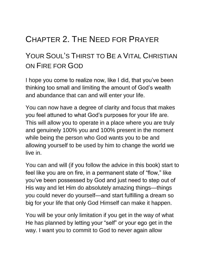### <span id="page-16-0"></span>CHAPTER 2. THE NEED FOR PRAYER

### YOUR SOUL'S THIRST TO BE A VITAL CHRISTIAN ON FIRE FOR GOD

I hope you come to realize now, like I did, that you've been thinking too small and limiting the amount of God's wealth and abundance that can and will enter your life.

You can now have a degree of clarity and focus that makes you feel attuned to what God's purposes for your life are. This will allow you to operate in a place where you are truly and genuinely 100% you and 100% present in the moment while being the person who God wants you to be and allowing yourself to be used by him to change the world we live in.

You can and will (if you follow the advice in this book) start to feel like you are on fire, in a permanent state of "flow," like you've been possessed by God and just need to step out of His way and let Him do absolutely amazing things—things you could never do yourself—and start fulfilling a dream so big for your life that only God Himself can make it happen.

You will be your only limitation if you get in the way of what He has planned by letting your "self" or your ego get in the way. I want you to commit to God to never again allow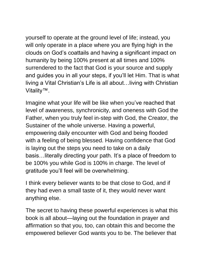yourself to operate at the ground level of life; instead, you will only operate in a place where you are flying high in the clouds on God's coattails and having a significant impact on humanity by being 100% present at all times and 100% surrendered to the fact that God is your source and supply and guides you in all your steps, if you'll let Him. That is what living a Vital Christian's Life is all about…living with Christian Vitality™.

Imagine what your life will be like when you've reached that level of awareness, synchronicity, and oneness with God the Father, when you truly feel in-step with God, the Creator, the Sustainer of the whole universe. Having a powerful, empowering daily encounter with God and being flooded with a feeling of being blessed. Having confidence that God is laying out the steps you need to take on a daily basis…literally directing your path. It's a place of freedom to be 100% you while God is 100% in charge. The level of gratitude you'll feel will be overwhelming.

I think every believer wants to be that close to God, and if they had even a small taste of it, they would never want anything else.

The secret to having these powerful experiences is what this book is all about—laying out the foundation in prayer and affirmation so that you, too, can obtain this and become the empowered believer God wants you to be. The believer that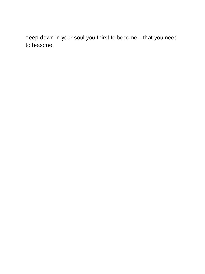deep-down in your soul you thirst to become…that you need to become.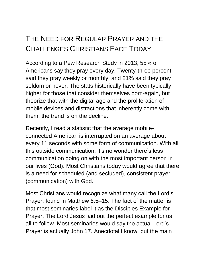### THE NEED FOR REGULAR PRAYER AND THE CHALLENGES CHRISTIANS FACE TODAY

According to a Pew Research Study in 2013, 55% of Americans say they pray every day. Twenty-three percent said they pray weekly or monthly, and 21% said they pray seldom or never. The stats historically have been typically higher for those that consider themselves born-again, but I theorize that with the digital age and the proliferation of mobile devices and distractions that inherently come with them, the trend is on the decline.

Recently, I read a statistic that the average mobileconnected American is interrupted on an average about every 11 seconds with some form of communication. With all this outside communication, it's no wonder there's less communication going on with the most important person in our lives (God). Most Christians today would agree that there is a need for scheduled (and secluded), consistent prayer (communication) with God.

Most Christians would recognize what many call the Lord's Prayer, found in Matthew 6:5–15. The fact of the matter is that most seminaries label it as the Disciples Example for Prayer. The Lord Jesus laid out the perfect example for us all to follow. Most seminaries would say the actual Lord's Prayer is actually John 17. Anecdotal I know, but the main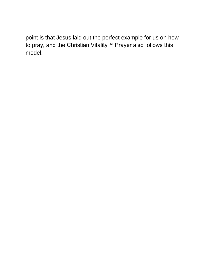point is that Jesus laid out the perfect example for us on how to pray, and the Christian Vitality™ Prayer also follows this model.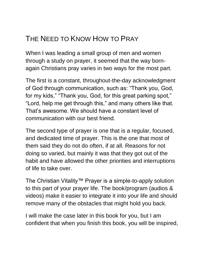### THE NEED TO KNOW HOW TO PRAY

When I was leading a small group of men and women through a study on prayer, it seemed that the way bornagain Christians pray varies in two ways for the most part.

The first is a constant, throughout-the-day acknowledgment of God through communication, such as: "Thank you, God, for my kids," "Thank you, God, for this great parking spot," "Lord, help me get through this," and many others like that. That's awesome. We should have a constant level of communication with our best friend.

The second type of prayer is one that is a regular, focused, and dedicated time of prayer. This is the one that most of them said they do not do often, if at all. Reasons for not doing so varied, but mainly it was that they got out of the habit and have allowed the other priorities and interruptions of life to take over.

The Christian Vitality™ Prayer is a simple-to-apply solution to this part of your prayer life. The book/program (audios & videos) make it easier to integrate it into your life and should remove many of the obstacles that might hold you back.

I will make the case later in this book for you, but I am confident that when you finish this book, you will be inspired,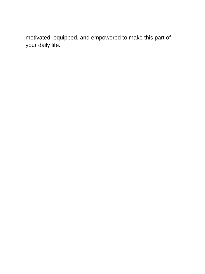motivated, equipped, and empowered to make this part of your daily life.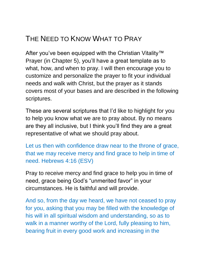### THE NEED TO KNOW WHAT TO PRAY

After you've been equipped with the Christian Vitality™ Prayer (in Chapter 5), you'll have a great template as to what, how, and when to pray. I will then encourage you to customize and personalize the prayer to fit your individual needs and walk with Christ, but the prayer as it stands covers most of your bases and are described in the following scriptures.

These are several scriptures that I'd like to highlight for you to help you know what we are to pray about. By no means are they all inclusive, but I think you'll find they are a great representative of what we should pray about.

Let us then with confidence draw near to the throne of grace, that we may receive mercy and find grace to help in time of need. Hebrews 4:16 (ESV)

Pray to receive mercy and find grace to help you in time of need, grace being God's "unmerited favor" in your circumstances. He is faithful and will provide.

And so, from the day we heard, we have not ceased to pray for you, asking that you may be filled with the knowledge of his will in all spiritual wisdom and understanding, so as to walk in a manner worthy of the Lord, fully pleasing to him, bearing fruit in every good work and increasing in the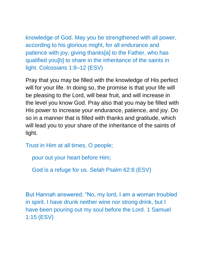knowledge of God. May you be strengthened with all power, according to his glorious might, for all endurance and patience with joy, giving thanks[a] to the Father, who has qualified you[b] to share in the inheritance of the saints in light. Colossians 1:9–12 (ESV)

Pray that you may be filled with the knowledge of His perfect will for your life. In doing so, the promise is that your life will be pleasing to the Lord, will bear fruit, and will increase in the level you know God. Pray also that you may be filled with His power to increase your endurance, patience, and joy. Do so in a manner that is filled with thanks and gratitude, which will lead you to your share of the inheritance of the saints of light.

Trust in Him at all times, O people;

pour out your heart before Him;

God is a refuge for us. Selah Psalm 62:8 (ESV)

But Hannah answered, "No, my lord, I am a woman troubled in spirit. I have drunk neither wine nor strong drink, but I have been pouring out my soul before the Lord. 1 Samuel 1:15 (ESV)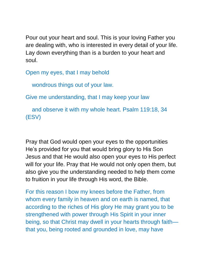Pour out your heart and soul. This is your loving Father you are dealing with, who is interested in every detail of your life. Lay down everything than is a burden to your heart and soul.

Open my eyes, that I may behold

wondrous things out of your law.

Give me understanding, that I may keep your law

 and observe it with my whole heart. Psalm 119:18, 34 (ESV)

Pray that God would open your eyes to the opportunities He's provided for you that would bring glory to His Son Jesus and that He would also open your eyes to His perfect will for your life. Pray that He would not only open them, but also give you the understanding needed to help them come to fruition in your life through His word, the Bible.

For this reason I bow my knees before the Father, from whom every family in heaven and on earth is named, that according to the riches of His glory He may grant you to be strengthened with power through His Spirit in your inner being, so that Christ may dwell in your hearts through faith that you, being rooted and grounded in love, may have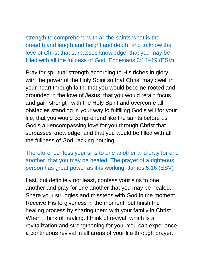strength to comprehend with all the saints what is the breadth and length and height and depth, and to know the love of Christ that surpasses knowledge, that you may be filled with all the fullness of God. Ephesians 3:14–19 (ESV)

Pray for spiritual strength according to His riches in glory with the power of the Holy Spirit so that Christ may dwell in your heart through faith: that you would become rooted and grounded in the love of Jesus; that you would retain focus and gain strength with the Holy Spirit and overcome all obstacles standing in your way to fulfilling God's will for your life; that you would comprehend like the saints before us God's all-encompassing love for you through Christ that surpasses knowledge; and that you would be filled with all the fullness of God, lacking nothing.

Therefore, confess your sins to one another and pray for one another, that you may be healed. The prayer of a righteous person has great power as it is working. James 5:16 (ESV)

Last, but definitely not least, confess your sins to one another and pray for one another that you may be healed. Share your struggles and missteps with God in the moment. Receive His forgiveness in the moment, but finish the healing process by sharing them with your family in Christ. When I think of healing, I think of revival, which is a revitalization and strengthening for you. You can experience a continuous revival in all areas of your life through prayer.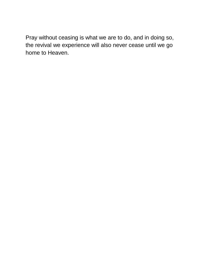Pray without ceasing is what we are to do, and in doing so, the revival we experience will also never cease until we go home to Heaven.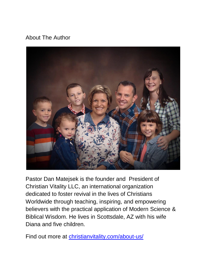#### <span id="page-28-0"></span>About The Author



Pastor Dan Matejsek is the founder and President of Christian Vitality LLC, an international organization dedicated to foster revival in the lives of Christians Worldwide through teaching, inspiring, and empowering believers with the practical application of Modern Science & Biblical Wisdom. He lives in Scottsdale, AZ with his wife Diana and five children.

Find out more at *christianvitality.com/about-us/*